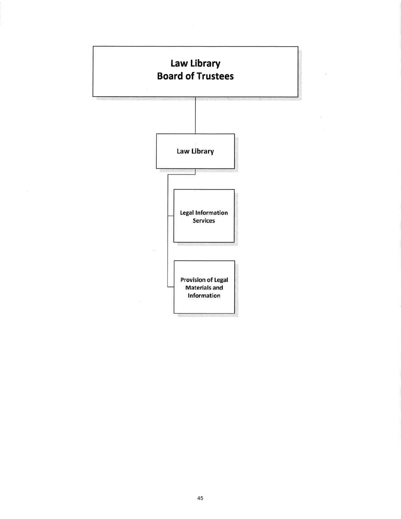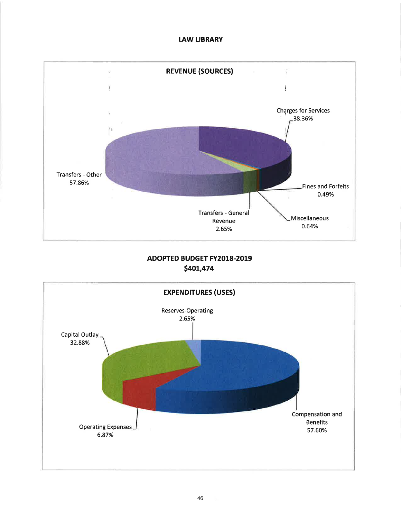## **LAW LIBRARY**



# ADOPTED BUDGET FY2018-2019 \$401,474

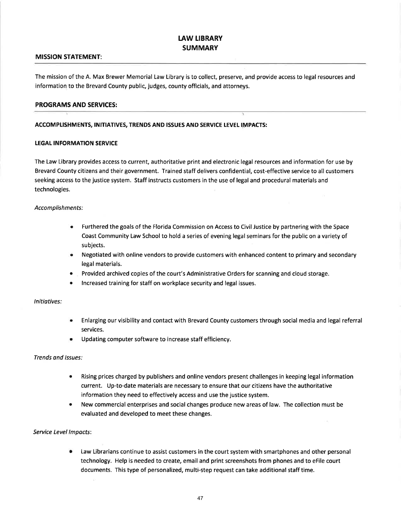## **LAW LIBRARY SUMMARY**

#### MISSION STATEMENT:

The mission of the A. Max Brewer Memorial Law Library is to collect, preserve, and provide access to legal resources and information to the Brevard County public, judges, county officials, and attornevs.

#### PROGRAMS AND SERVICES:

#### ACCOMPLISHMENTS, INITIATIVES, TRENDS AND ISSUES AND SERVICE LEVEL IMPACTS:

#### **LEGAL INFORMATION SERVICE**

The Law Library provides access to current, authoritative print and electronic legal resources and information for use by Brevard County citizens and their government. Trained staff delivers confidential, cost-effective service to all customers seeking access to the justice system. Staff instructs customers in the use of legal and procedural materials and technologies

#### Accomplishments:

- o Furthered the goals of the Florida Commission on Access to Civil Justice by partnering with the Space Coast Community Law School to hold a series of evening legal seminars for the public on a variety of subjects.
- o Negotiated with online vendors to provide customers with enhanced content to primary and secondary legal materials.
- e Provided archived copies of the court's Administrative Orders for scanning and cloud storage.
- o lncreased training for staff on workplace security and legal issues.

#### lnitiatives:

- Enlarging our visibility and contact with Brevard County customers through social media and legal referral services.
- Updating computer software to increase staff efficiency. a

#### Trends and lssues:

- Rising prices charged by publishers and online vendors present challenges in keeping legal information current. Up-to-date materials are necessary to ensure that our citizens have the authoritative information they need to effectively access and use the justice system. a
- New commercial enterprises and social changes produce new areas of law. The collection must be evaluated and developed to meet these changes. a

#### Service Level Impacts:

Law Librarians continue to assist customers in the court system with smartphones and other personal technology. Help is needed to create, email and print screenshots from phones and to eFile court documents. This type of personalized, multi-step request can take additional staff time. a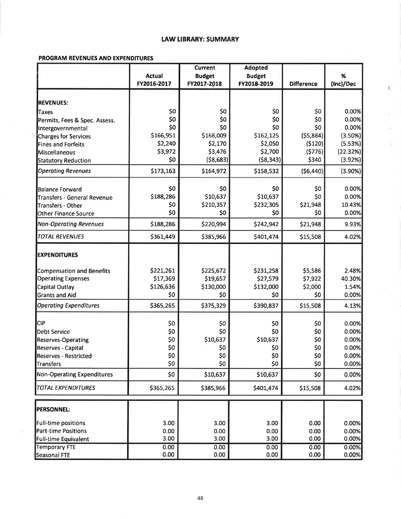#### **LAW LIBRARY: SUMMARY**

 $\mathbf{1}$ 

Ķ)

#### **PROGRAM REVENUES AND EXPENDITURES**

|                                    |               | <b>Current</b> | <b>Adopted</b>  |                   |            |
|------------------------------------|---------------|----------------|-----------------|-------------------|------------|
|                                    | <b>Actual</b> | <b>Budget</b>  | <b>Budget</b>   |                   | %          |
|                                    | FY2016-2017   | FY2017-2018    | FY2018-2019     | <b>Difference</b> | (Inc)/Dec  |
| <b>REVENUES:</b>                   |               |                |                 |                   |            |
| Taxes                              | \$0           | \$0            | \$0             | \$0               | 0.00%      |
| Permits, Fees & Spec. Assess.      | \$0           | \$0            | \$0             | \$0               | 0.00%      |
| Intergovernmental                  | \$0           | \$0            | \$0             | \$0               | 0.00%      |
| Charges for Services               | \$166,951     | \$168,009      | \$162,125       | ( \$5,884]        | (3.50%)    |
| Fines and Forfeits                 | \$2,240       | \$2,170        | \$2,050         | (5120)            | (5.53%)    |
| Miscellaneous                      | \$3,972       | \$3,476        | \$2,700         | (5776)            | (22.32%)   |
| <b>Statutory Reduction</b>         | \$0           | (58, 683)      | (58, 343)       | \$340             | (3.92%)    |
| <b>Operating Revenues</b>          | \$173,163     | \$164,972      | \$158,532       | (56, 440)         | $(3.90\%)$ |
| <b>Balance Forward</b>             | \$0           | \$0            | \$0             | \$0               | 0.00%      |
| <b>Transfers - General Revenue</b> | \$188,286     | \$10,637       | \$10,637        | \$0               | 0.00%      |
| Transfers - Other                  | \$0           | \$210,357      | \$232,305       | \$21,948          | 10.43%     |
| <b>Other Finance Source</b>        | \$0           | \$0            | \$0             | \$0               | 0.00%      |
| <b>Non-Operating Revenues</b>      | \$188,286     | \$220,994      | \$242,942       | \$21,948          | 9.93%      |
| <b>TOTAL REVENUES</b>              | \$361,449     | \$385,966      | \$401,474       | \$15,508          | 4.02%      |
| <b>EXPENDITURES</b>                |               |                |                 |                   |            |
| <b>Compensation and Benefits</b>   | \$221,261     | \$225,672      | \$231,258       | \$5,586           | 2.48%      |
| <b>Operating Expenses</b>          | \$17,369      | \$19,657       | \$27,579        | \$7,922           | 40.30%     |
| Capital Outlay                     | \$126,636     | \$130,000      | \$132,000       | \$2,000           | 1.54%      |
| <b>Grants and Aid</b>              | \$0           | \$0            | \$0             | \$0               | 0.00%      |
| <b>Operating Expenditures</b>      | \$365,265     | \$375,329      | \$390,837       | \$15,508          | 4.13%      |
| <b>CIP</b>                         | \$0           | \$0            | \$0             | \$0               | 0.00%      |
| <b>Debt Service</b>                | \$0           | \$0            | \$0             | \$0               | 0.00%      |
| <b>Reserves-Operating</b>          | \$0           | \$10,637       | \$10,637        | \$0               | 0.00%      |
| <b>Reserves - Capital</b>          | \$0           | \$0            | \$0             | \$0               | 0.00%      |
| <b>Reserves - Restricted</b>       | \$0           | \$0            | SO <sub>2</sub> | SO <sub>2</sub>   | 0.00%      |
| <b>Transfers</b>                   | \$0           | \$0            | \$0             | \$0               | 0.00%      |
| <b>Non-Operating Expenditures</b>  | \$0           | \$10,637       | \$10,637        | \$0               | 0.00%      |
| <b>TOTAL EXPENDITURES</b>          | \$365,265     | \$385,966      | \$401,474       | \$15,508          | 4.02%      |
| <b>PERSONNEL:</b>                  |               |                |                 |                   |            |
| Full-time positions                | 3.00          | 3.00           | 3.00            | 0.00              | 0.00%      |
| Part-time Positions                | 0.00          | 0.00           | 0.00            | 0.00              | 0.00%      |
| Full-time Equivalent               | 3.00          | 3.00           | 3.00            | 0.00              | 0.00%      |
| <b>Temporary FTE</b>               | 0.00          | 0.00           | 0.00            | 0.00              | 0.00%      |
| Seasonal FTE                       | 0.00          | 0.00           | 0.00            | 0.00              | 0.00%      |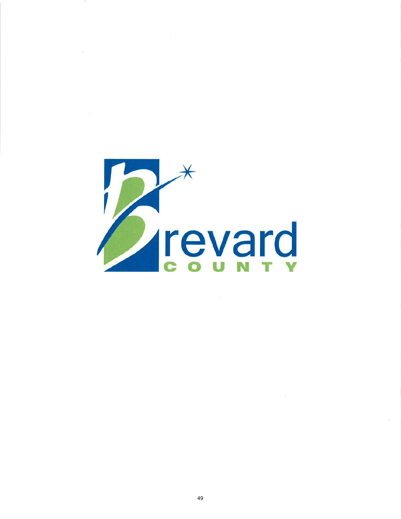

 $\sim 100$  km s  $^{-1}$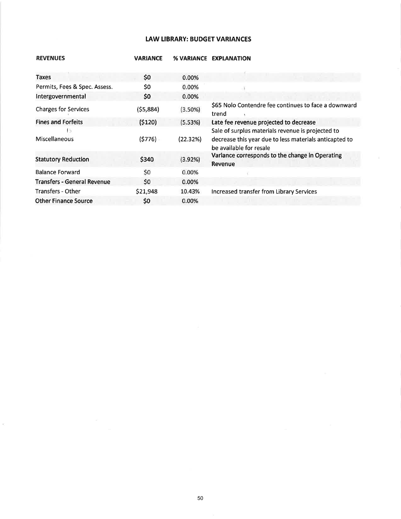## **LAW LIBRARY: BUDGET VARIANCES**

| <b>REVENUES</b>                    | <b>VARIANCE</b> | <b>% VARIANCE</b> | <b>EXPLANATION</b>                                                                                                                     |
|------------------------------------|-----------------|-------------------|----------------------------------------------------------------------------------------------------------------------------------------|
|                                    |                 |                   |                                                                                                                                        |
| <b>Taxes</b>                       | \$0             | 0.00%             |                                                                                                                                        |
| Permits, Fees & Spec. Assess.      | \$0             | 0.00%             |                                                                                                                                        |
| Intergovernmental                  | \$0             | 0.00%             |                                                                                                                                        |
| <b>Charges for Services</b>        | (55,884)        | (3.50%)           | \$65 Nolo Contendre fee continues to face a downward<br>trend                                                                          |
| <b>Fines and Forfeits</b>          | (5120)          | (5.53%)           | Late fee revenue projected to decrease                                                                                                 |
| Ιb.<br>Miscellaneous               | (5776)          | (22.32%)          | Sale of surplus materials revenue is projected to<br>decrease this year due to less materials anticapted to<br>be available for resale |
| <b>Statutory Reduction</b>         | \$340           | (3.92%)           | Variance corresponds to the change in Operating<br><b>Revenue</b>                                                                      |
| <b>Balance Forward</b>             | \$0             | 0.00%             |                                                                                                                                        |
| <b>Transfers - General Revenue</b> | \$0             | 0.00%             |                                                                                                                                        |
| Transfers - Other                  | \$21,948        | 10.43%            | Increased transfer from Library Services                                                                                               |
| <b>Other Finance Source</b>        | \$0             | 0.00%             |                                                                                                                                        |

 $\tilde{\mathcal{C}}$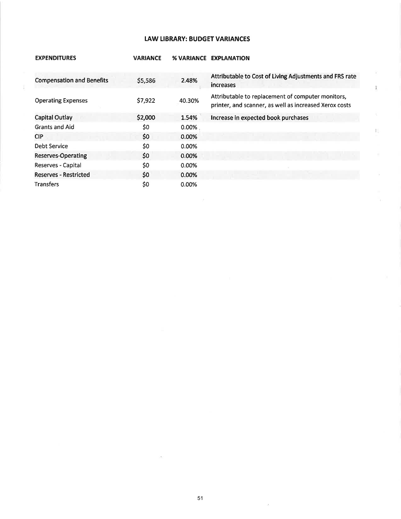### tAW LIBRARY: BUDGET VARIANCES

| <b>EXPENDITURES</b>              | <b>VARIANCE</b> | <b>% VARIANCE</b> | <b>EXPLANATION</b>                                                                                          |
|----------------------------------|-----------------|-------------------|-------------------------------------------------------------------------------------------------------------|
| <b>Compensation and Benefits</b> | \$5,586         | 2.48%             | Attributable to Cost of Living Adjustments and FRS rate<br>increases                                        |
| <b>Operating Expenses</b>        | \$7,922         | 40.30%            | Attributable to replacement of computer monitors,<br>printer, and scanner, as well as increased Xerox costs |
| <b>Capital Outlay</b>            | \$2,000         | 1.54%             | Increase in expected book purchases                                                                         |
| <b>Grants and Aid</b>            | \$0             | 0.00%             |                                                                                                             |
| <b>CIP</b>                       | \$0             | 0.00%             |                                                                                                             |
| Debt Service                     | \$0             | 0.00%             |                                                                                                             |
| <b>Reserves-Operating</b>        | \$0             | 0.00%             |                                                                                                             |
| Reserves - Capital               | \$0             | 0.00%             |                                                                                                             |
| <b>Reserves - Restricted</b>     | \$0             | 0.00%             |                                                                                                             |
| <b>Transfers</b>                 | \$0             | $0.00\%$          |                                                                                                             |

 $\overline{3}$ 

机

 $\bar{\mathcal{P}}$